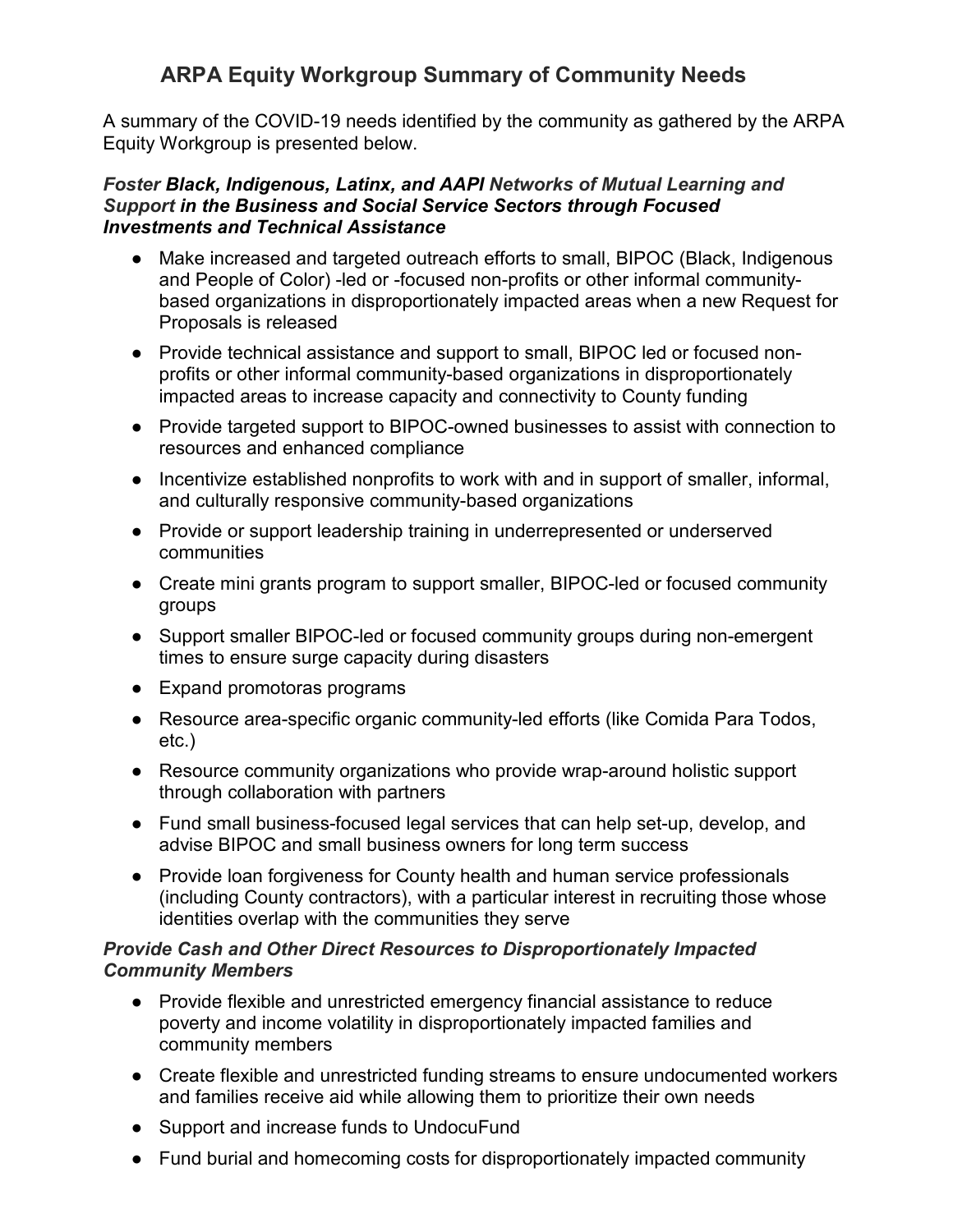## **ARPA Equity Workgroup Summary of Community Needs**

A summary of the COVID-19 needs identified by the community as gathered by the ARPA Equity Workgroup is presented below.

#### *Foster Black, Indigenous, Latinx, and AAPI Networks of Mutual Learning and Support in the Business and Social Service Sectors through Focused Investments and Technical Assistance*

- Make increased and targeted outreach efforts to small, BIPOC (Black, Indigenous and People of Color) -led or -focused non-profits or other informal communitybased organizations in disproportionately impacted areas when a new Request for Proposals is released
- Provide technical assistance and support to small, BIPOC led or focused nonprofits or other informal community-based organizations in disproportionately impacted areas to increase capacity and connectivity to County funding
- Provide targeted support to BIPOC-owned businesses to assist with connection to resources and enhanced compliance
- Incentivize established nonprofits to work with and in support of smaller, informal, and culturally responsive community-based organizations
- Provide or support leadership training in underrepresented or underserved communities
- Create mini grants program to support smaller, BIPOC-led or focused community groups
- Support smaller BIPOC-led or focused community groups during non-emergent times to ensure surge capacity during disasters
- Expand promotoras programs
- Resource area-specific organic community-led efforts (like Comida Para Todos, etc.)
- Resource community organizations who provide wrap-around holistic support through collaboration with partners
- Fund small business-focused legal services that can help set-up, develop, and advise BIPOC and small business owners for long term success
- Provide loan forgiveness for County health and human service professionals (including County contractors), with a particular interest in recruiting those whose identities overlap with the communities they serve

### *Provide Cash and Other Direct Resources to Disproportionately Impacted Community Members*

- Provide flexible and unrestricted emergency financial assistance to reduce poverty and income volatility in disproportionately impacted families and community members
- Create flexible and unrestricted funding streams to ensure undocumented workers and families receive aid while allowing them to prioritize their own needs
- Support and increase funds to UndocuFund
- Fund burial and homecoming costs for disproportionately impacted community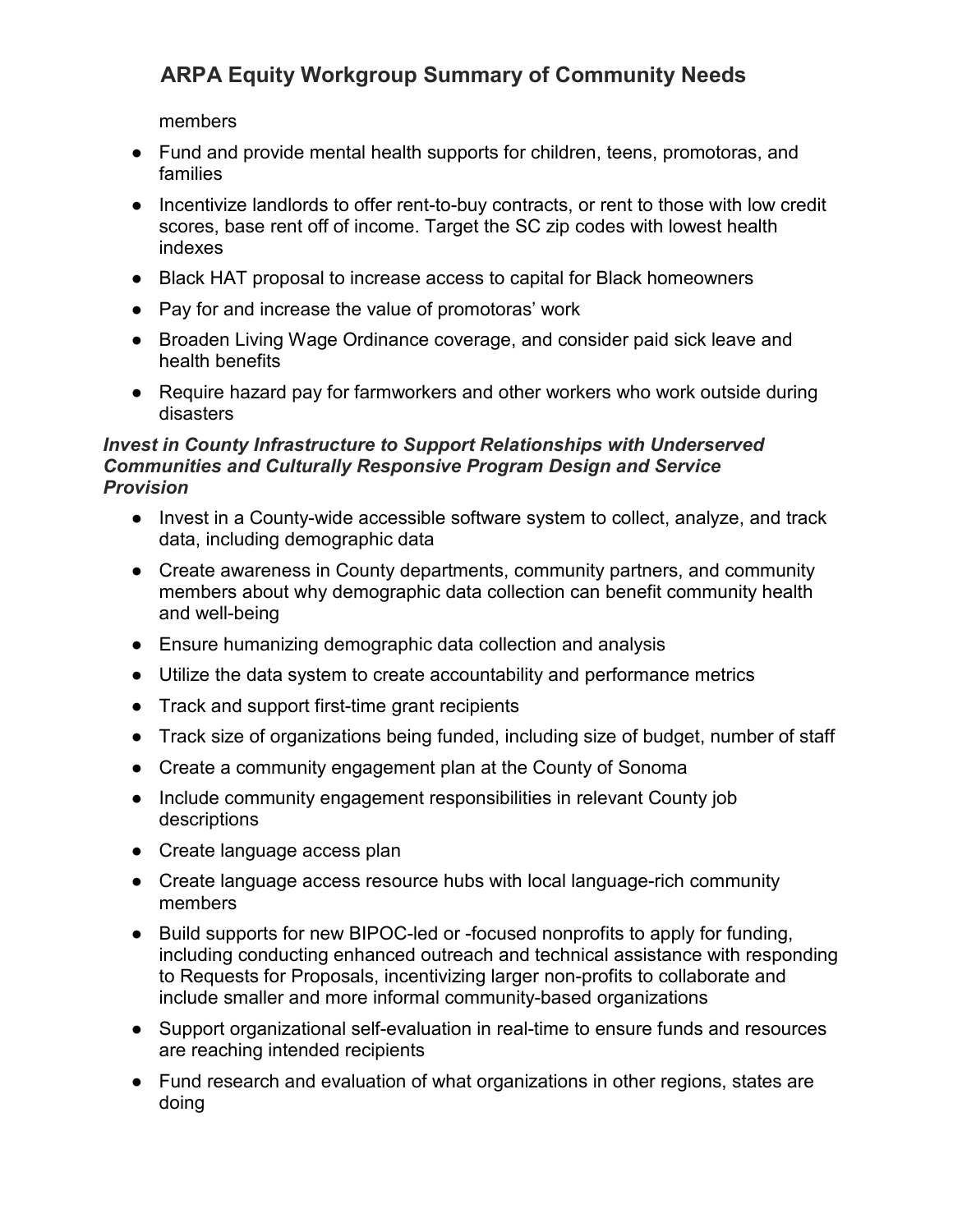# **ARPA Equity Workgroup Summary of Community Needs**

members

- Fund and provide mental health supports for children, teens, promotoras, and families
- Incentivize landlords to offer rent-to-buy contracts, or rent to those with low credit scores, base rent off of income. Target the SC zip codes with lowest health indexes
- Black HAT proposal to increase access to capital for Black homeowners
- Pay for and increase the value of promotoras' work
- Broaden Living Wage Ordinance coverage, and consider paid sick leave and health benefits
- Require hazard pay for farmworkers and other workers who work outside during disasters

### *Invest in County Infrastructure to Support Relationships with Underserved Communities and Culturally Responsive Program Design and Service Provision*

- Invest in a County-wide accessible software system to collect, analyze, and track data, including demographic data
- Create awareness in County departments, community partners, and community members about why demographic data collection can benefit community health and well-being
- Ensure humanizing demographic data collection and analysis
- Utilize the data system to create accountability and performance metrics
- Track and support first-time grant recipients
- Track size of organizations being funded, including size of budget, number of staff
- Create a community engagement plan at the County of Sonoma
- Include community engagement responsibilities in relevant County job descriptions
- Create language access plan
- Create language access resource hubs with local language-rich community members
- Build supports for new BIPOC-led or -focused nonprofits to apply for funding, including conducting enhanced outreach and technical assistance with responding to Requests for Proposals, incentivizing larger non-profits to collaborate and include smaller and more informal community-based organizations
- Support organizational self-evaluation in real-time to ensure funds and resources are reaching intended recipients
- Fund research and evaluation of what organizations in other regions, states are doing